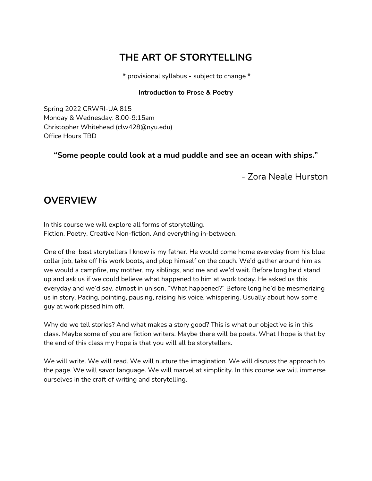# **THE ART OF STORYTELLING**

\* provisional syllabus - subject to change \*

#### **Introduction to Prose & Poetry**

Spring 2022 CRWRI-UA 815 Monday & Wednesday: 8:00-9:15am Christopher Whitehead (clw428@nyu.edu) Office Hours TBD

**"Some people could look at a mud puddle and see an ocean with ships."** 

- Zora Neale Hurston

## **OVERVIEW**

In this course we will explore all forms of storytelling. Fiction. Poetry. Creative Non-fiction. And everything in-between.

One of the best storytellers I know is my father. He would come home everyday from his blue collar job, take off his work boots, and plop himself on the couch. We'd gather around him as we would a campfire, my mother, my siblings, and me and we'd wait. Before long he'd stand up and ask us if we could believe what happened to him at work today. He asked us this everyday and we'd say, almost in unison, "What happened?" Before long he'd be mesmerizing us in story. Pacing, pointing, pausing, raising his voice, whispering. Usually about how some guy at work pissed him off.

Why do we tell stories? And what makes a story good? This is what our objective is in this class. Maybe some of you are fiction writers. Maybe there will be poets. What I hope is that by the end of this class my hope is that you will all be storytellers.

We will write. We will read. We will nurture the imagination. We will discuss the approach to the page. We will savor language. We will marvel at simplicity. In this course we will immerse ourselves in the craft of writing and storytelling.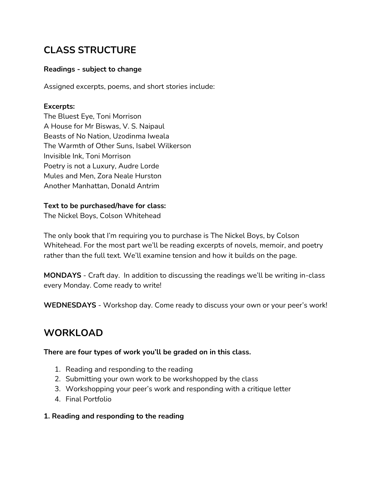# **CLASS STRUCTURE**

### **Readings - subject to change**

Assigned excerpts, poems, and short stories include:

### **Excerpts:**

The Bluest Eye, Toni Morrison A House for Mr Biswas, V. S. Naipaul Beasts of No Nation, Uzodinma Iweala The Warmth of Other Suns, Isabel Wilkerson Invisible Ink, Toni Morrison Poetry is not a Luxury, Audre Lorde Mules and Men, Zora Neale Hurston Another Manhattan, Donald Antrim

### **Text to be purchased/have for class:**

The Nickel Boys, Colson Whitehead

The only book that I'm requiring you to purchase is The Nickel Boys, by Colson Whitehead. For the most part we'll be reading excerpts of novels, memoir, and poetry rather than the full text. We'll examine tension and how it builds on the page.

**MONDAYS** - Craft day. In addition to discussing the readings we'll be writing in-class every Monday. Come ready to write!

**WEDNESDAYS** - Workshop day. Come ready to discuss your own or your peer's work!

# **WORKLOAD**

### **There are four types of work you'll be graded on in this class.**

- 1. Reading and responding to the reading
- 2. Submitting your own work to be workshopped by the class
- 3. Workshopping your peer's work and responding with a critique letter
- 4. Final Portfolio

### **1. Reading and responding to the reading**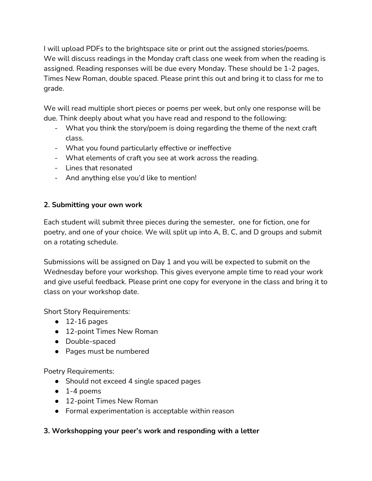I will upload PDFs to the brightspace site or print out the assigned stories/poems. We will discuss readings in the Monday craft class one week from when the reading is assigned. Reading responses will be due every Monday. These should be 1-2 pages, Times New Roman, double spaced. Please print this out and bring it to class for me to grade.

We will read multiple short pieces or poems per week, but only one response will be due. Think deeply about what you have read and respond to the following:

- What you think the story/poem is doing regarding the theme of the next craft class.
- What you found particularly effective or ineffective
- What elements of craft you see at work across the reading.
- Lines that resonated
- And anything else you'd like to mention!

### **2. Submitting your own work**

Each student will submit three pieces during the semester, one for fiction, one for poetry, and one of your choice. We will split up into A, B, C, and D groups and submit on a rotating schedule.

Submissions will be assigned on Day 1 and you will be expected to submit on the Wednesday before your workshop. This gives everyone ample time to read your work and give useful feedback. Please print one copy for everyone in the class and bring it to class on your workshop date.

Short Story Requirements:

- $\bullet$  12-16 pages
- 12-point Times New Roman
- Double-spaced
- Pages must be numbered

Poetry Requirements:

- Should not exceed 4 single spaced pages
- $\bullet$  1-4 poems
- 12-point Times New Roman
- Formal experimentation is acceptable within reason

### **3. Workshopping your peer's work and responding with a letter**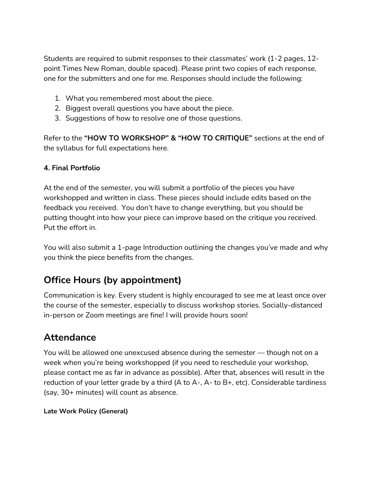Students are required to submit responses to their classmates' work (1-2 pages, 12 point Times New Roman, double spaced). Please print two copies of each response, one for the submitters and one for me. Responses should include the following:

- 1. What you remembered most about the piece.
- 2. Biggest overall questions you have about the piece.
- 3. Suggestions of how to resolve one of those questions.

Refer to the **"HOW TO WORKSHOP" & "HOW TO CRITIQUE"** sections at the end of the syllabus for full expectations here.

### **4. Final Portfolio**

At the end of the semester, you will submit a portfolio of the pieces you have workshopped and written in class. These pieces should include edits based on the feedback you received. You don't have to change everything, but you should be putting thought into how your piece can improve based on the critique you received. Put the effort in.

You will also submit a 1-page Introduction outlining the changes you've made and why you think the piece benefits from the changes.

# **Office Hours (by appointment)**

Communication is key. Every student is highly encouraged to see me at least once over the course of the semester, especially to discuss workshop stories. Socially-distanced in-person or Zoom meetings are fine! I will provide hours soon!

## **Attendance**

You will be allowed one unexcused absence during the semester — though not on a week when you're being workshopped (if you need to reschedule your workshop, please contact me as far in advance as possible). After that, absences will result in the reduction of your letter grade by a third (A to A-, A- to B+, etc). Considerable tardiness (say, 30+ minutes) will count as absence.

### **Late Work Policy (General)**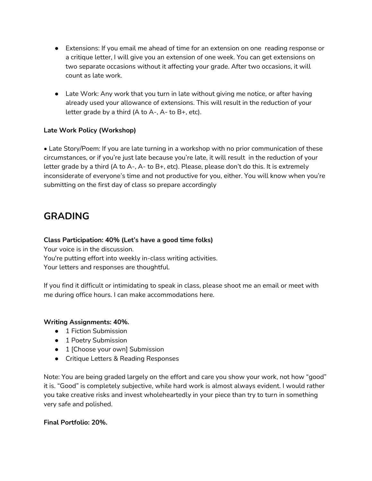- Extensions: If you email me ahead of time for an extension on one reading response or a critique letter, I will give you an extension of one week. You can get extensions on two separate occasions without it affecting your grade. After two occasions, it will count as late work.
- Late Work: Any work that you turn in late without giving me notice, or after having already used your allowance of extensions. This will result in the reduction of your letter grade by a third (A to A-, A- to B+, etc).

#### **Late Work Policy (Workshop)**

• Late Story/Poem: If you are late turning in a workshop with no prior communication of these circumstances, or if you're just late because you're late, it will result in the reduction of your letter grade by a third (A to A-, A- to B+, etc). Please, please don't do this. It is extremely inconsiderate of everyone's time and not productive for you, either. You will know when you're submitting on the first day of class so prepare accordingly

## **GRADING**

#### **Class Participation: 40% (Let's have a good time folks)**

Your voice is in the discussion.

You're putting effort into weekly in-class writing activities. Your letters and responses are thoughtful.

If you find it difficult or intimidating to speak in class, please shoot me an email or meet with me during office hours. I can make accommodations here.

#### **Writing Assignments: 40%.**

- 1 Fiction Submission
- 1 Poetry Submission
- 1 [Choose your own] Submission
- Critique Letters & Reading Responses

Note: You are being graded largely on the effort and care you show your work, not how "good" it is. "Good" is completely subjective, while hard work is almost always evident. I would rather you take creative risks and invest wholeheartedly in your piece than try to turn in something very safe and polished.

#### **Final Portfolio: 20%.**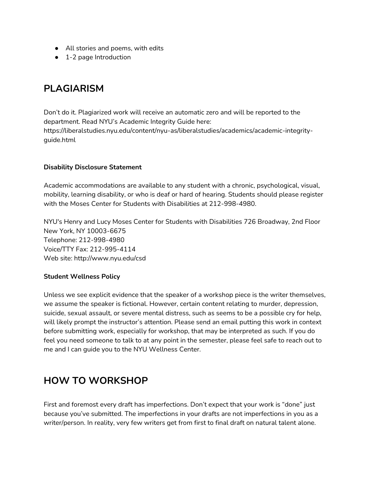- All stories and poems, with edits
- 1-2 page Introduction

## **PLAGIARISM**

Don't do it. Plagiarized work will receive an automatic zero and will be reported to the department. Read NYU's Academic Integrity Guide here: https://liberalstudies.nyu.edu/content/nyu-as/liberalstudies/academics/academic-integrityguide.html

#### **Disability Disclosure Statement**

Academic accommodations are available to any student with a chronic, psychological, visual, mobility, learning disability, or who is deaf or hard of hearing. Students should please register with the Moses Center for Students with Disabilities at 212-998-4980.

NYU's Henry and Lucy Moses Center for Students with Disabilities 726 Broadway, 2nd Floor New York, NY 10003-6675 Telephone: 212-998-4980 Voice/TTY Fax: 212-995-4114 Web site: http://www.nyu.edu/csd

#### **Student Wellness Policy**

Unless we see explicit evidence that the speaker of a workshop piece is the writer themselves, we assume the speaker is fictional. However, certain content relating to murder, depression, suicide, sexual assault, or severe mental distress, such as seems to be a possible cry for help, will likely prompt the instructor's attention. Please send an email putting this work in context before submitting work, especially for workshop, that may be interpreted as such. If you do feel you need someone to talk to at any point in the semester, please feel safe to reach out to me and I can guide you to the NYU Wellness Center.

# **HOW TO WORKSHOP**

First and foremost every draft has imperfections. Don't expect that your work is "done" just because you've submitted. The imperfections in your drafts are not imperfections in you as a writer/person. In reality, very few writers get from first to final draft on natural talent alone.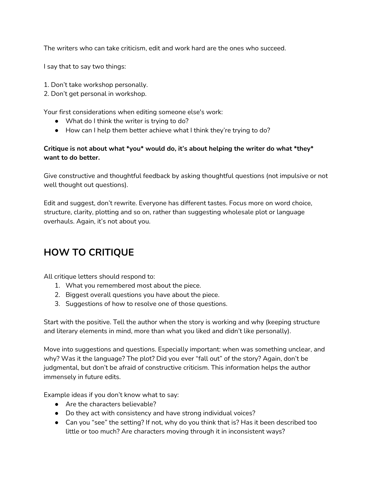The writers who can take criticism, edit and work hard are the ones who succeed.

I say that to say two things:

- 1. Don't take workshop personally.
- 2. Don't get personal in workshop.

Your first considerations when editing someone else's work:

- What do I think the writer is trying to do?
- How can I help them better achieve what I think they're trying to do?

#### **Critique is not about what \*you\* would do, it's about helping the writer do what \*they\* want to do better.**

Give constructive and thoughtful feedback by asking thoughtful questions (not impulsive or not well thought out questions).

Edit and suggest, don't rewrite. Everyone has different tastes. Focus more on word choice, structure, clarity, plotting and so on, rather than suggesting wholesale plot or language overhauls. Again, it's not about you.

# **HOW TO CRITIQUE**

All critique letters should respond to:

- 1. What you remembered most about the piece.
- 2. Biggest overall questions you have about the piece.
- 3. Suggestions of how to resolve one of those questions.

Start with the positive. Tell the author when the story is working and why (keeping structure and literary elements in mind, more than what you liked and didn't like personally).

Move into suggestions and questions. Especially important: when was something unclear, and why? Was it the language? The plot? Did you ever "fall out" of the story? Again, don't be judgmental, but don't be afraid of constructive criticism. This information helps the author immensely in future edits.

Example ideas if you don't know what to say:

- Are the characters believable?
- Do they act with consistency and have strong individual voices?
- Can you "see" the setting? If not, why do you think that is? Has it been described too little or too much? Are characters moving through it in inconsistent ways?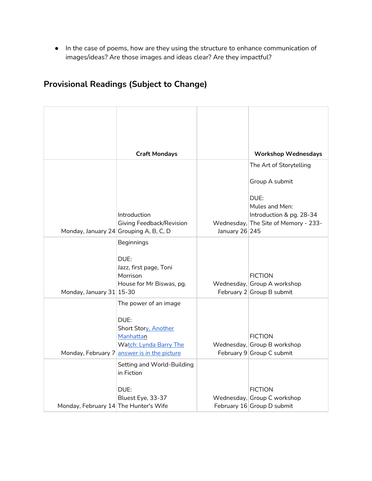● In the case of poems, how are they using the structure to enhance communication of images/ideas? Are those images and ideas clear? Are they impactful?

## **Provisional Readings (Subject to Change)**

|                                        | <b>Craft Mondays</b>                     |                | <b>Workshop Wednesdays</b>                    |
|----------------------------------------|------------------------------------------|----------------|-----------------------------------------------|
|                                        |                                          |                | The Art of Storytelling                       |
|                                        |                                          |                | Group A submit                                |
|                                        |                                          |                | DUE:                                          |
|                                        | Introduction                             |                | Mules and Men:<br>Introduction & pg. 28-34    |
|                                        | Giving Feedback/Revision                 |                | Wednesday, The Site of Memory - 233-          |
| Monday, January 24 Grouping A, B, C, D |                                          | January 26 245 |                                               |
|                                        | Beginnings                               |                |                                               |
|                                        | DUE:                                     |                |                                               |
|                                        | Jazz, first page, Toni<br>Morrison       |                | <b>FICTION</b>                                |
|                                        | House for Mr Biswas, pg.                 |                | Wednesday, Group A workshop                   |
| Monday, January 31 15-30               |                                          |                | February 2 Group B submit                     |
|                                        | The power of an image                    |                |                                               |
|                                        | DUE:                                     |                |                                               |
|                                        | Short Story, Another                     |                |                                               |
|                                        | Manhattan<br>Watch: Lynda Barry The      |                | <b>FICTION</b><br>Wednesday, Group B workshop |
| Monday, February 7                     | answer is in the picture                 |                | February 9 Group C submit                     |
|                                        | Setting and World-Building<br>in Fiction |                |                                               |
|                                        | DUE:                                     |                | <b>FICTION</b>                                |
|                                        | Bluest Eye, 33-37                        |                | Wednesday, Group C workshop                   |
| Monday, February 14 The Hunter's Wife  |                                          |                | February 16 Group D submit                    |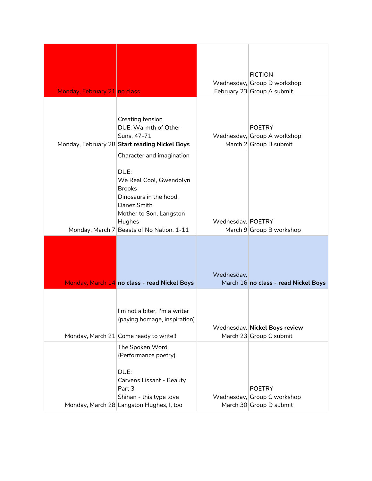| Monday, February 21 no class |                                                                                                                                                                                          |                   | <b>FICTION</b><br>Wednesday, Group D workshop<br>February 23 Group A submit |
|------------------------------|------------------------------------------------------------------------------------------------------------------------------------------------------------------------------------------|-------------------|-----------------------------------------------------------------------------|
|                              | Creating tension<br>DUE: Warmth of Other<br>Suns, 47-71<br>Monday, February 28 Start reading Nickel Boys                                                                                 |                   | <b>POETRY</b><br>Wednesday, Group A workshop<br>March $2 Group B$ submit    |
| Monday, March 7              | Character and imagination<br>DUE:<br>We Real Cool, Gwendolyn<br><b>Brooks</b><br>Dinosaurs in the hood,<br>Danez Smith<br>Mother to Son, Langston<br>Hughes<br>Beasts of No Nation, 1-11 | Wednesday, POETRY | March 9 Group B workshop                                                    |
|                              | Monday, March 14 no class - read Nickel Boys                                                                                                                                             | Wednesday,        | March 16 no class - read Nickel Boys                                        |
|                              | I'm not a biter, I'm a writer<br>(paying homage, inspiration)<br>Monday, March 21 Come ready to write!!                                                                                  |                   | Wednesday, Nickel Boys review<br>March 23 Group C submit                    |
|                              | The Spoken Word<br>(Performance poetry)<br>DUE:<br>Carvens Lissant - Beauty<br>Part 3<br>Shihan - this type love<br>Monday, March 28 Langston Hughes, I, too                             |                   | <b>POETRY</b><br>Wednesday, Group C workshop<br>March 30 Group D submit     |